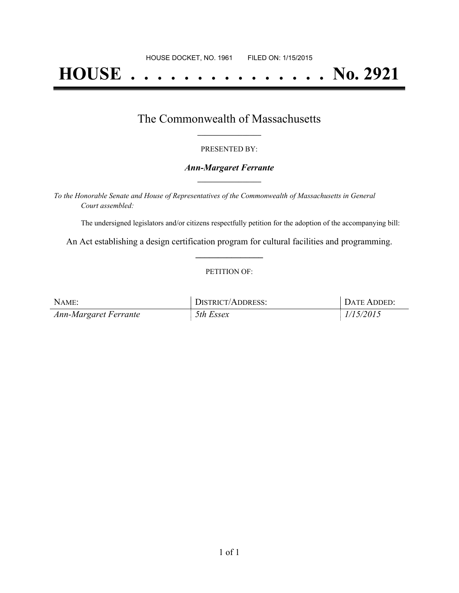# **HOUSE . . . . . . . . . . . . . . . No. 2921**

### The Commonwealth of Massachusetts **\_\_\_\_\_\_\_\_\_\_\_\_\_\_\_\_\_**

#### PRESENTED BY:

#### *Ann-Margaret Ferrante* **\_\_\_\_\_\_\_\_\_\_\_\_\_\_\_\_\_**

*To the Honorable Senate and House of Representatives of the Commonwealth of Massachusetts in General Court assembled:*

The undersigned legislators and/or citizens respectfully petition for the adoption of the accompanying bill:

An Act establishing a design certification program for cultural facilities and programming. **\_\_\_\_\_\_\_\_\_\_\_\_\_\_\_**

#### PETITION OF:

| NAME:                 | <b>DISTRICT/ADDRESS:</b> | DATE ADDED: |
|-----------------------|--------------------------|-------------|
| Ann-Margaret Ferrante | 5th Essex                | 1/15/2015   |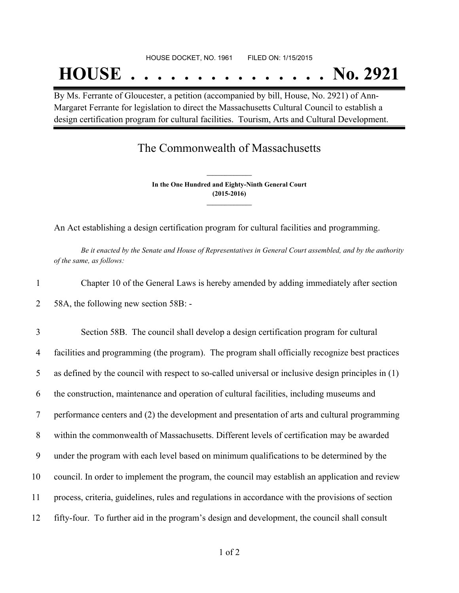## **HOUSE . . . . . . . . . . . . . . . No. 2921**

By Ms. Ferrante of Gloucester, a petition (accompanied by bill, House, No. 2921) of Ann-Margaret Ferrante for legislation to direct the Massachusetts Cultural Council to establish a design certification program for cultural facilities. Tourism, Arts and Cultural Development.

## The Commonwealth of Massachusetts

**In the One Hundred and Eighty-Ninth General Court (2015-2016) \_\_\_\_\_\_\_\_\_\_\_\_\_\_\_**

**\_\_\_\_\_\_\_\_\_\_\_\_\_\_\_**

An Act establishing a design certification program for cultural facilities and programming.

Be it enacted by the Senate and House of Representatives in General Court assembled, and by the authority *of the same, as follows:*

1 Chapter 10 of the General Laws is hereby amended by adding immediately after section 2 58A, the following new section 58B: -

 Section 58B. The council shall develop a design certification program for cultural facilities and programming (the program). The program shall officially recognize best practices as defined by the council with respect to so-called universal or inclusive design principles in (1) the construction, maintenance and operation of cultural facilities, including museums and performance centers and (2) the development and presentation of arts and cultural programming within the commonwealth of Massachusetts. Different levels of certification may be awarded under the program with each level based on minimum qualifications to be determined by the council. In order to implement the program, the council may establish an application and review process, criteria, guidelines, rules and regulations in accordance with the provisions of section fifty-four. To further aid in the program's design and development, the council shall consult